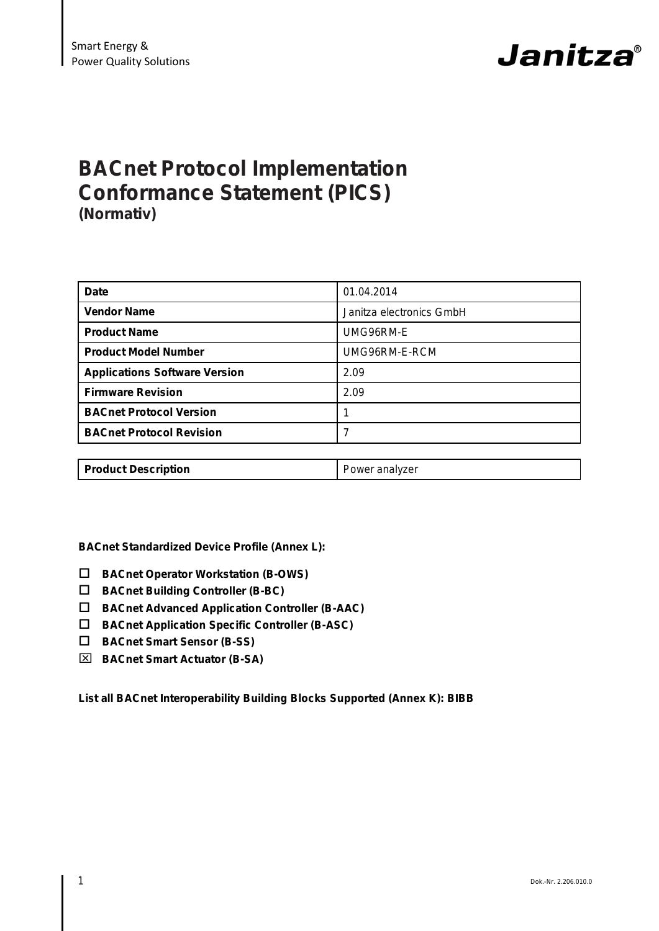

# **BACnet Protocol Implementation Conformance Statement (PICS) (Normativ)**

| <b>Date</b>                          | 01.04.2014               |
|--------------------------------------|--------------------------|
| <b>Vendor Name</b>                   | Janitza electronics GmbH |
| <b>Product Name</b>                  | UMG96RM-E                |
| <b>Product Model Number</b>          | UMG96RM-E-RCM            |
| <b>Applications Software Version</b> | 2.09                     |
| <b>Firmware Revision</b>             | 2.09                     |
| <b>BACnet Protocol Version</b>       |                          |
| <b>BACnet Protocol Revision</b>      | 7                        |
|                                      |                          |
| <b>Product Description</b>           | Power analyzer           |

**BACnet Standardized Device Profile (Annex L):**

- **BACnet Operator Workstation (B-OWS)**
- **BACnet Building Controller (B-BC)**
- **BACnet Advanced Application Controller (B-AAC)**
- **BACnet Application Specific Controller (B-ASC)**
- **BACnet Smart Sensor (B-SS)**
- **BACnet Smart Actuator (B-SA)**

**List all BACnet Interoperability Building Blocks Supported (Annex K): BIBB**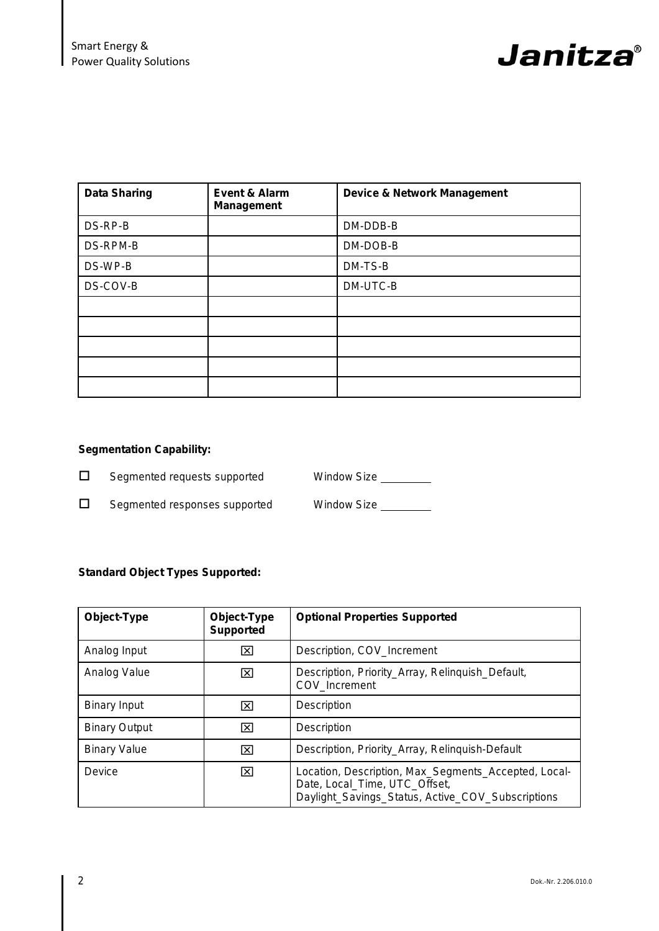

| <b>Data Sharing</b> | Event & Alarm<br><b>Management</b> | <b>Device &amp; Network Management</b> |
|---------------------|------------------------------------|----------------------------------------|
| DS-RP-B             |                                    | DM-DDB-B                               |
| DS-RPM-B            |                                    | DM-DOB-B                               |
| DS-WP-B             |                                    | DM-TS-B                                |
| DS-COV-B            |                                    | DM-UTC-B                               |
|                     |                                    |                                        |
|                     |                                    |                                        |
|                     |                                    |                                        |
|                     |                                    |                                        |
|                     |                                    |                                        |

### **Segmentation Capability:**

□ Segmented requests supported Window Size \_\_\_\_\_\_\_

□ Segmented responses supported Window Size \_\_\_\_\_\_\_\_

## **Standard Object Types Supported:**

| Object-Type          | Object-Type<br><b>Supported</b> | <b>Optional Properties Supported</b>                                                                                                       |
|----------------------|---------------------------------|--------------------------------------------------------------------------------------------------------------------------------------------|
| Analog Input         | ⊠                               | Description, COV Increment                                                                                                                 |
| Analog Value         | ⊠                               | Description, Priority_Array, Relinquish_Default,<br>COV Increment                                                                          |
| <b>Binary Input</b>  | ⊠                               | Description                                                                                                                                |
| <b>Binary Output</b> | ⊠                               | Description                                                                                                                                |
| <b>Binary Value</b>  | $\vert x \vert$                 | Description, Priority_Array, Relinquish-Default                                                                                            |
| Device               | ⊠                               | Location, Description, Max_Segments_Accepted, Local-<br>Date, Local_Time, UTC_Offset,<br>Daylight_Savings_Status, Active_COV_Subscriptions |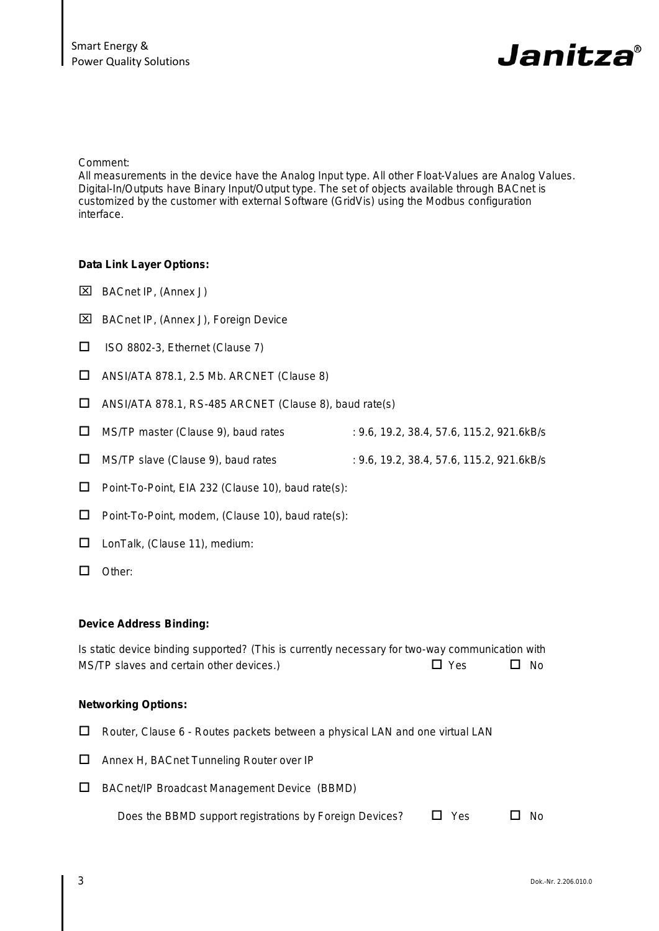# Janitza®

Comment:

All measurements in the device have the Analog Input type. All other Float-Values are Analog Values. Digital-In/Outputs have Binary Input/Output type. The set of objects available through BACnet is customized by the customer with external Software (GridVis) using the Modbus configuration interface.

#### **Data Link Layer Options:**

- BACnet IP, (Annex J)
- BACnet IP, (Annex J), Foreign Device
- $\Box$  ISO 8802-3, Ethernet (Clause 7)
- $\Box$  ANSI/ATA 878.1, 2.5 Mb. ARCNET (Clause 8)
- $\Box$  ANSI/ATA 878.1, RS-485 ARCNET (Clause 8), baud rate(s)
- □ MS/TP master (Clause 9), baud rates : 9.6, 19.2, 38.4, 57.6, 115.2, 921.6kB/s
- □ MS/TP slave (Clause 9), baud rates : 9.6, 19.2, 38.4, 57.6, 115.2, 921.6kB/s
- $\square$  Point-To-Point, EIA 232 (Clause 10), baud rate(s):
- $\Box$  Point-To-Point, modem, (Clause 10), baud rate(s):
- □ LonTalk, (Clause 11), medium:
- □ Other:

#### **Device Address Binding:**

Is static device binding supported? (This is currently necessary for two-way communication with  $MS/TP$  slaves and certain other devices.)  $\Box$  Yes  $\Box$  No

#### **Networking Options:**

- $\Box$  Router, Clause 6 Routes packets between a physical LAN and one virtual LAN
- □ Annex H, BACnet Tunneling Router over IP
- BACnet/IP Broadcast Management Device (BBMD)

| Does the BBMD support registrations by Foreign Devices? | $\Box$ Yes | $\Box$ No |
|---------------------------------------------------------|------------|-----------|
|---------------------------------------------------------|------------|-----------|